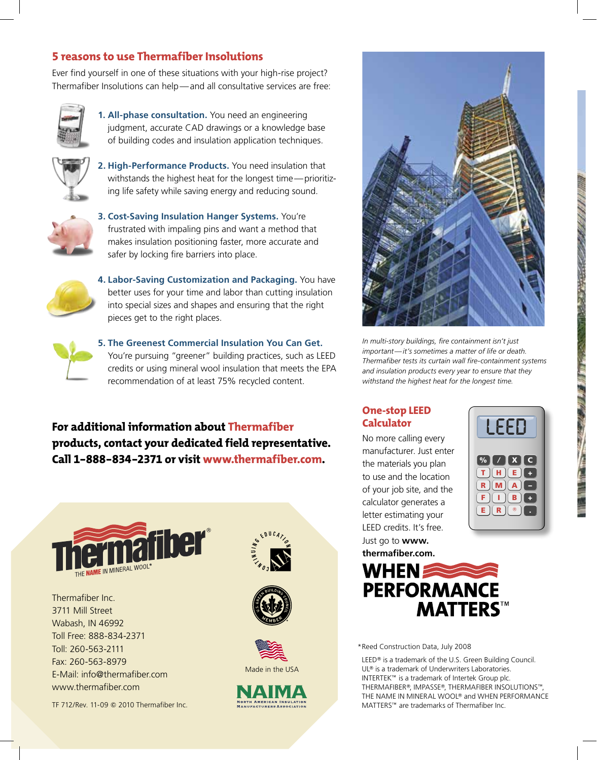the contract of the contract of the contract of the contract of the contract of the contract of the contract of

## **5 reasons to use Thermafiber Insolutions**

Ever find yourself in one of these situations with your high-rise project? Thermafiber Insolutions can help—and all consultative services are free:



**1. All-phase consultation.** You need an engineering judgment, accurate CAD drawings or a knowledge base of building codes and insulation application techniques.



**2. High-Performance Products.** You need insulation that withstands the highest heat for the longest time—prioritizing life safety while saving energy and reducing sound.



**3. Cost-Saving Insulation Hanger Systems.** You're frustrated with impaling pins and want a method that makes insulation positioning faster, more accurate and safer by locking fire barriers into place.



**4. Labor-Saving Customization and Packaging.** You have better uses for your time and labor than cutting insulation into special sizes and shapes and ensuring that the right pieces get to the right places.



**5. The Greenest Commercial Insulation You Can Get.** You're pursuing "greener" building practices, such as LEED credits or using mineral wool insulation that meets the EPA recommendation of at least 75% recycled content.

**For additional information about Thermafiber products, contact your dedicated field representative. Call 1-888-834-2371 or visit www.thermafiber.com.**



Wabash, IN 46992 Toll Free: 888-834-2371 Toll: 260-563-2111 Fax: 260-563-8979 E-Mail: info@thermafiber.com www.thermafiber.com

TF 712/Rev. 11-09 Q 2010 Thermafiber Inc.









*In multi-story buildings, fire containment isn't just important—it's sometimes a matter of life or death. Thermafiber tests its curtain wall fire-containment systems and insulation products every year to ensure that they withstand the highest heat for the longest time.*

### **One-stop LEED Calculator**

No more calling every manufacturer. Just enter the materials you plan to use and the location of your job site, and the calculator generates a letter estimating your LEED credits. It's free. Just go to **www. thermafiber.com.**





\*Reed Construction Data, July 2008

LEED® is a trademark of the U.S. Green Building Council. UL® is a trademark of Underwriters Laboratories. INTERTEK™ is a trademark of Intertek Group plc. THERMAFIBER®, IMPASSE®, THERMAFIBER INSOLUTIONS™, THE NAME IN MINERAL WOOL<sup>®</sup> and WHEN PERFORMANCE MATTERS<sup>™</sup> are trademarks of Thermafiber Inc.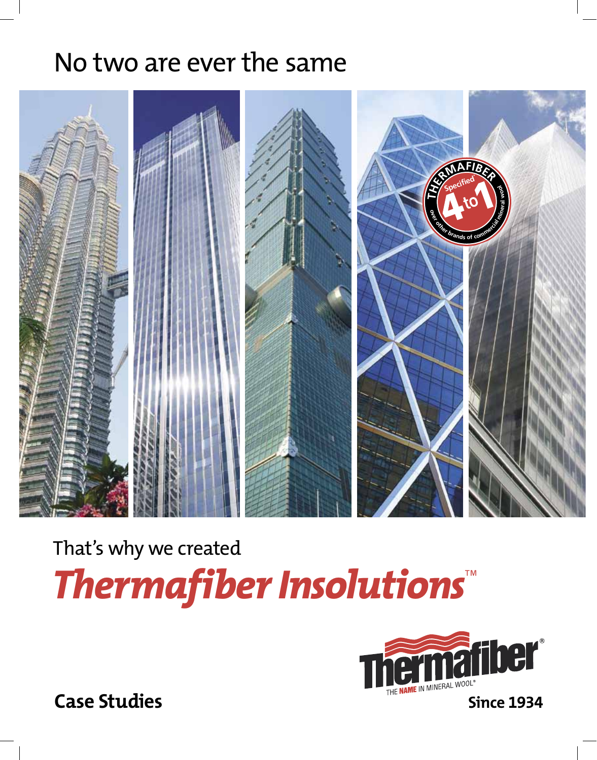# No two are ever the same



That's why we created *Thermafiber Insolutions*<sup>E</sup>



**Case Studies**

Workfolders:Janhavi:Active Jobs:MAC:31953-TMI\_InSolutionsBrochure:pages:31953-TMI\_InSolutionsBrochure.indd December 14, 2009 5:07 PM Workfolders:Janhavi:Active Jobs:MAC:31953-TMI\_InSolutionsBrochure:pages:31953-TMI\_InSolutionsBrochure.indd December 14, 2009 5:07 PM

**Since 1934**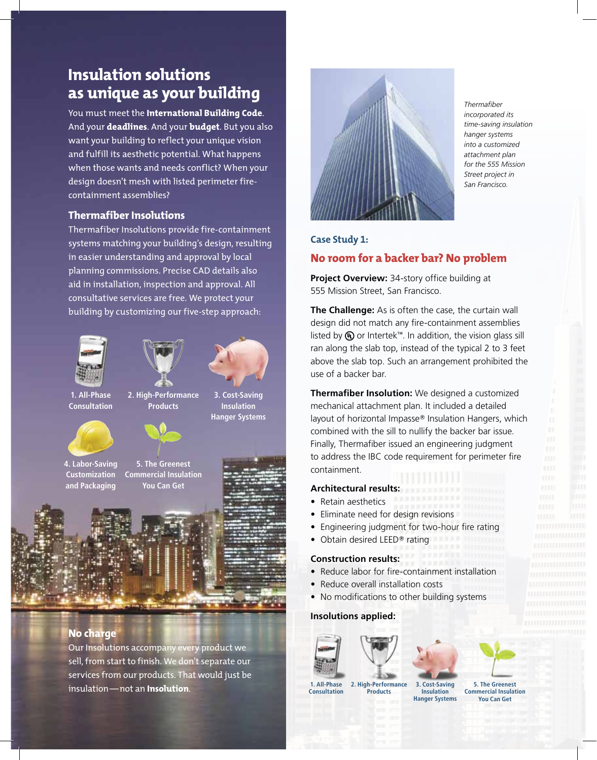# **Insulation solutions as unique as your building**

You must meet the **International Building Code**. And your **deadlines**. And your **budget**. But you also want your building to reflect your unique vision and fulfill its aesthetic potential. What happens when those wants and needs conflict? When your design doesn't mesh with listed perimeter firecontainment assemblies?

#### **Thermafiber Insolutions**

Thermafiber Insolutions provide fire-containment systems matching your building's design, resulting in easier understanding and approval by local planning commissions. Precise CAD details also aid in installation, inspection and approval. All consultative services are free. We protect your building by customizing our five-step approach:







**Insulation** 

**1. All-Phase Consultation**

**3. Cost-Saving Hanger Systems 2. High-Performance Products**



**4. Labor-Saving Customization and Packaging 5. The Greenest Commercial Insulation You Can Get**



**No charge**

Our Insolutions accompany every product we sell, from start to finish. We don't separate our services from our products. That would just be insulation—not an **Insolution**.



*Thermafiber incorporated its time-saving insulation hanger systems into a customized attachment plan for the 555 Mission Street project in San Francisco.* 

#### **Case Study 1:**

#### **No room for a backer bar? No problem**

**Project Overview:** 34-story office building at 555 Mission Street, San Francisco.

**The Challenge:** As is often the case, the curtain wall design did not match any fire-containment assemblies listed by  $\textcircled{1}$  or Intertek<sup>TM</sup>. In addition, the vision glass sill ran along the slab top, instead of the typical 2 to 3 feet above the slab top. Such an arrangement prohibited the use of a backer bar.

**Thermafiber Insolution:** We designed a customized mechanical attachment plan. It included a detailed layout of horizontal Impasse<sup>®</sup> Insulation Hangers, which combined with the sill to nullify the backer bar issue. Finally, Thermafiber issued an engineering judgment to address the IBC code requirement for perimeter fire containment.

#### **Architectural results:**

- Retain aesthetics
- Eliminate need for design revisions
- Engineering judgment for two-hour fire rating
- $\bullet$  Obtain desired LEED® rating

#### **Construction results:**

- Reduce labor for fire-containment installation
- Reduce overall installation costs
- No modifications to other building systems

#### **Insolutions applied:**





**Consultation 2. High-Performance Products**

**5. The Greenest Commercial Insulation You Can Get**

**3. Cost-Saving Insulation Hanger Systems**

the contract of the contract of the contract of the contract of the contract of the contract of the contract of